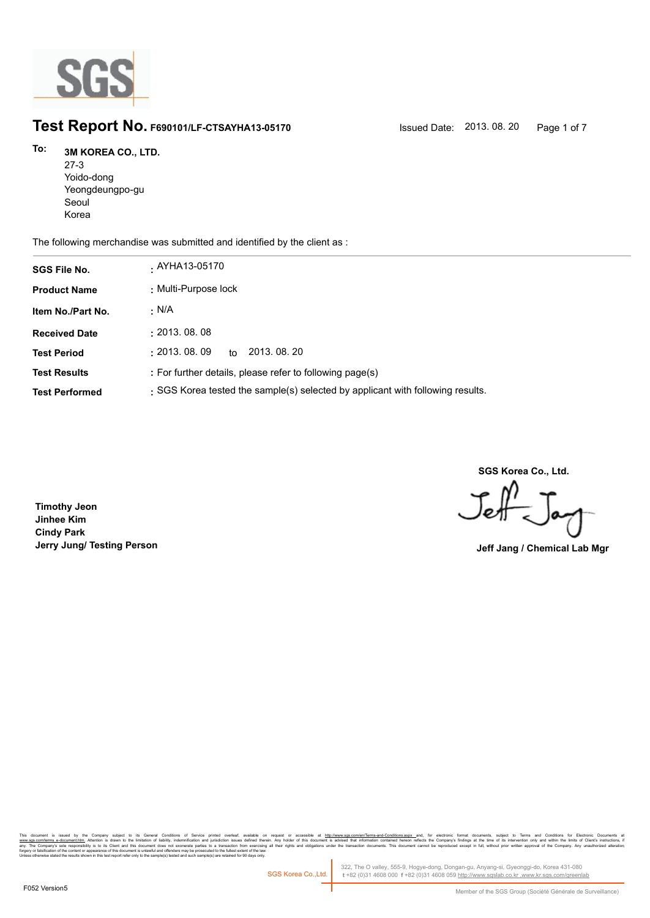

# **Test Report No. F690101/LF-CTSAYHA13-05170** Issued Date: 2013. 08. 20 Page 1 of 7

### **3M KOREA CO., LTD. To:**

27-3 Yoido-dong Yeongdeungpo-gu Seoul Korea

The following merchandise was submitted and identified by the client as :

| <b>SGS File No.</b>   | . AYHA13-05170                                                                 |
|-----------------------|--------------------------------------------------------------------------------|
| <b>Product Name</b>   | : Multi-Purpose lock                                                           |
| Item No./Part No.     | . N/A                                                                          |
| <b>Received Date</b>  | : 2013.08.08                                                                   |
| <b>Test Period</b>    | $\pm 2013$ . 08. 09<br>2013, 08, 20<br>to                                      |
| <b>Test Results</b>   | : For further details, please refer to following page(s)                       |
| <b>Test Performed</b> | : SGS Korea tested the sample(s) selected by applicant with following results. |

**SGS Korea Co., Ltd.**

Jeff

**Timothy Jeon Jinhee Kim Cindy Park Jerry Jung/ Testing Person Jeff Jang / Chemical Lab Mgr**

, company sugna, as cerain consmons or servor pnme overa, available that the mate of accessive at <u>mitovawess compendent means associated that indiversases and</u> compensive compensive interest in the distinguish in Temperat forgery or falsification of the content or appearance of this document is unlawful and offenders may be prosecuted to the fullest extent of the law.<br>Unless otherwise stated the results shown in this test report refer only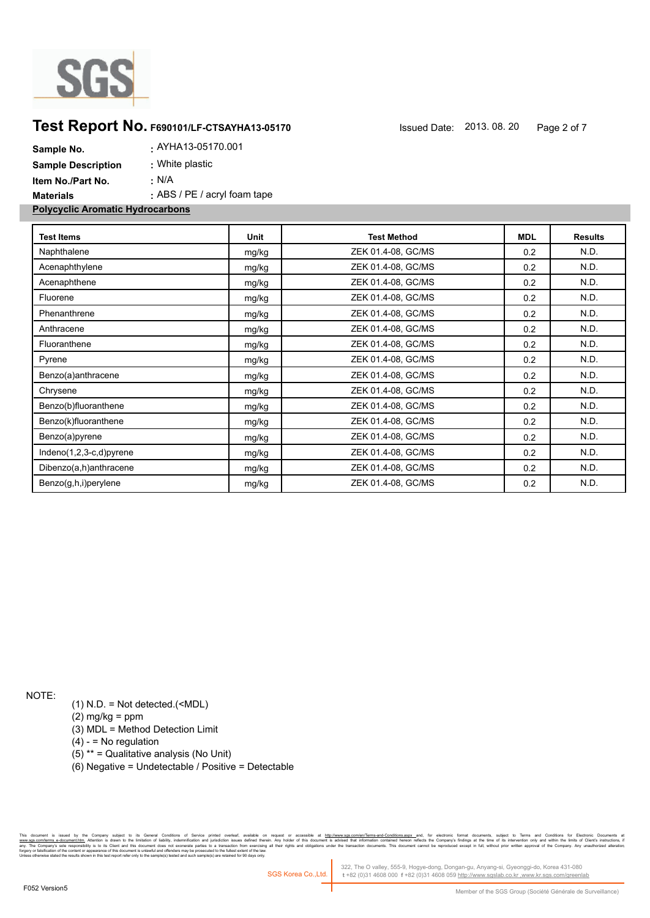

# **Test Report No. F690101/LF-CTSAYHA13-05170** Issued Date: 2013. 08. 20 Page 2 of 7

| Sample No.                              | . AYHA13-05170.001               |
|-----------------------------------------|----------------------------------|
| <b>Sample Description</b>               | : White plastic                  |
| Item No./Part No.                       | ∴ N/A                            |
| <b>Materials</b>                        | $\pm$ ABS / PE / acryl foam tape |
| <b>Polycyclic Aromatic Hydrocarbons</b> |                                  |

| <b>Test Items</b>       | Unit  | <b>Test Method</b> | <b>MDL</b> | <b>Results</b> |
|-------------------------|-------|--------------------|------------|----------------|
| Naphthalene             | mg/kg | ZEK 01.4-08, GC/MS | 0.2        | N.D.           |
| Acenaphthylene          | mg/kg | ZEK 01.4-08, GC/MS | 0.2        | N.D.           |
| Acenaphthene            | mg/kg | ZEK 01.4-08, GC/MS | 0.2        | N.D.           |
| Fluorene                | mg/kg | ZEK 01.4-08, GC/MS | 0.2        | N.D.           |
| Phenanthrene            | mg/kg | ZEK 01.4-08, GC/MS | 0.2        | N.D.           |
| Anthracene              | mg/kg | ZEK 01.4-08, GC/MS | 0.2        | N.D.           |
| Fluoranthene            | mg/kg | ZEK 01.4-08, GC/MS | 0.2        | N.D.           |
| Pyrene                  | mg/kg | ZEK 01.4-08, GC/MS | 0.2        | N.D.           |
| Benzo(a)anthracene      | mg/kg | ZEK 01.4-08, GC/MS | 0.2        | N.D.           |
| Chrysene                | mg/kg | ZEK 01.4-08, GC/MS | 0.2        | N.D.           |
| Benzo(b)fluoranthene    | mg/kg | ZEK 01.4-08, GC/MS | 0.2        | N.D.           |
| Benzo(k)fluoranthene    | mg/kg | ZEK 01.4-08, GC/MS | 0.2        | N.D.           |
| Benzo(a)pyrene          | mg/kg | ZEK 01.4-08, GC/MS | 0.2        | N.D.           |
| Indeno(1,2,3-c,d)pyrene | mg/kg | ZEK 01.4-08, GC/MS | 0.2        | N.D.           |
| Dibenzo(a,h)anthracene  | mg/kg | ZEK 01.4-08, GC/MS | 0.2        | N.D.           |
| Benzo(g,h,i)perylene    | mg/kg | ZEK 01.4-08, GC/MS | 0.2        | N.D.           |

NOTE:

(1) N.D. = Not detected.(<MDL)

(2) mg/kg = ppm

(3) MDL = Method Detection Limit

 $(4) -$  = No regulation

(5) \*\* = Qualitative analysis (No Unit)

(6) Negative = Undetectable / Positive = Detectable

the Company subject to its General Conditions of Service printed overleaf, available on request or accessible at h<u>its/inversite, and the restant-fermine and the state of the state of the state of the state of the state of</u> n and jurisdiction issues defined therein.<br>arties to a transaction from exercising all<br>rosecuted to the fullest extent of the law.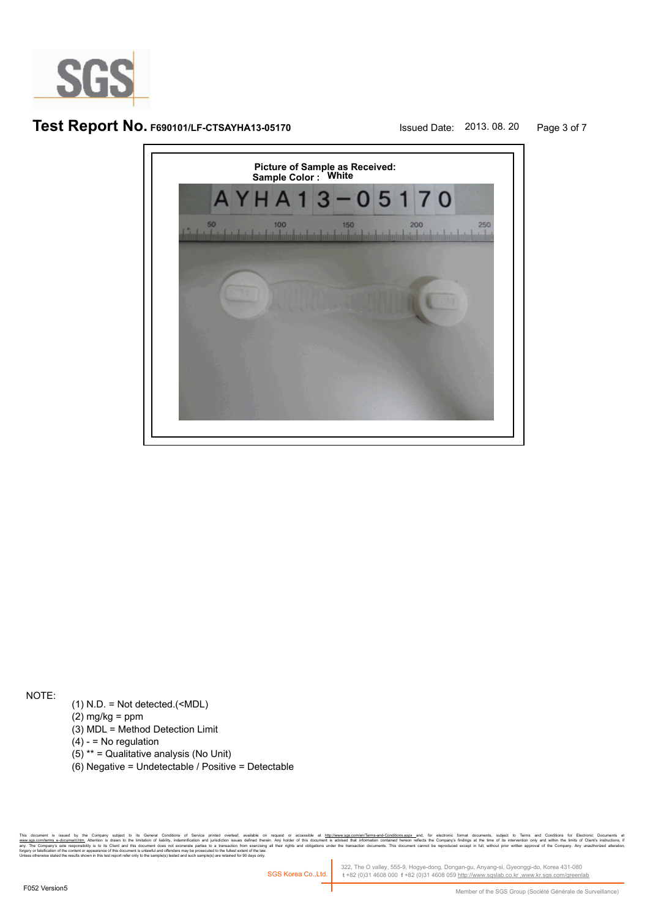

# **Test Report No. F690101/LF-CTSAYHA13-05170** Issued Date: 2013. 08. 20 Page 3 of 7



NOTE:

- (1) N.D. = Not detected.(<MDL)
- $(2)$  mg/kg = ppm
- (3) MDL = Method Detection Limit
- $(4) -$  = No regulation
- (5) \*\* = Qualitative analysis (No Unit)
- (6) Negative = Undetectable / Positive = Detectable

r company suged as central compons or servor prime o weres, awake on request or accessive at <u>hterwwass componiemes-are a model on the dec</u>rease and, because and counterst subject to remove the individual the same of the i forgery or falsification of the content or appearance of this document is unlawful and offenders may be prosecuted to the fullest extent of the law.<br>Unless otherwise stated the results shown in this test report refer only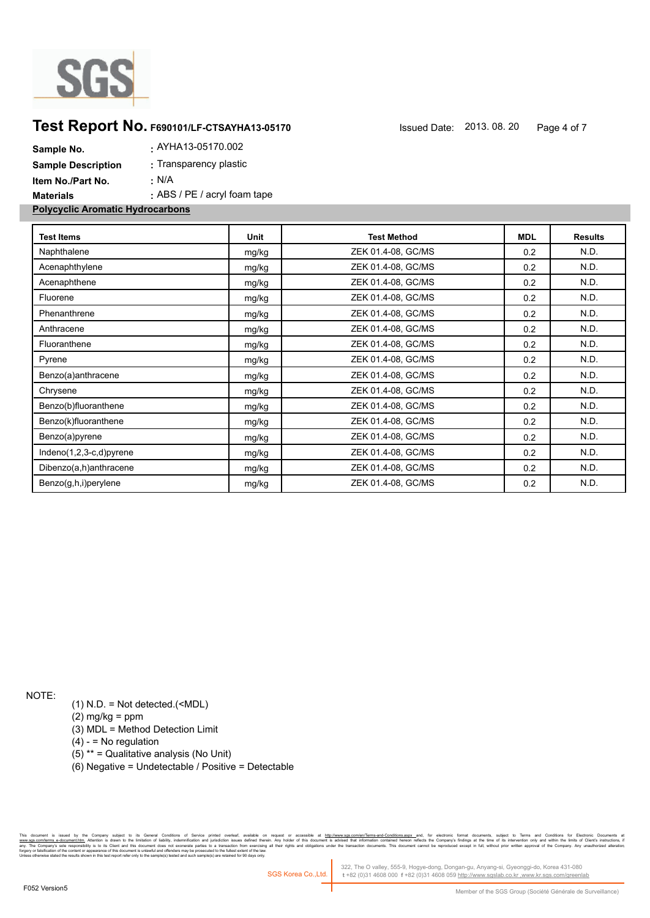

# **Test Report No. F690101/LF-CTSAYHA13-05170** Issued Date: 2013. 08. 20 Page 4 of 7

| Sample No.                              | . AYHA13-05170.002               |
|-----------------------------------------|----------------------------------|
| <b>Sample Description</b>               | : Transparency plastic           |
| Item No./Part No.                       | $\cdot$ N/A                      |
| <b>Materials</b>                        | $\pm$ ABS / PE / acryl foam tape |
| <b>Polycyclic Aromatic Hydrocarbons</b> |                                  |

| <b>Test Items</b>       | Unit  | <b>Test Method</b> | <b>MDL</b> | <b>Results</b> |
|-------------------------|-------|--------------------|------------|----------------|
| Naphthalene             | mg/kg | ZEK 01.4-08, GC/MS | 0.2        | N.D.           |
| Acenaphthylene          | mg/kg | ZEK 01.4-08, GC/MS | 0.2        | N.D.           |
| Acenaphthene            | mg/kg | ZEK 01.4-08, GC/MS | 0.2        | N.D.           |
| Fluorene                | mg/kg | ZEK 01.4-08, GC/MS | 0.2        | N.D.           |
| Phenanthrene            | mg/kg | ZEK 01.4-08, GC/MS | 0.2        | N.D.           |
| Anthracene              | mg/kg | ZEK 01.4-08, GC/MS | 0.2        | N.D.           |
| Fluoranthene            | mg/kg | ZEK 01.4-08, GC/MS | 0.2        | N.D.           |
| Pyrene                  | mg/kg | ZEK 01.4-08, GC/MS | 0.2        | N.D.           |
| Benzo(a)anthracene      | mg/kg | ZEK 01.4-08, GC/MS | 0.2        | N.D.           |
| Chrysene                | mg/kg | ZEK 01.4-08, GC/MS | 0.2        | N.D.           |
| Benzo(b)fluoranthene    | mg/kg | ZEK 01.4-08, GC/MS | 0.2        | N.D.           |
| Benzo(k)fluoranthene    | mg/kg | ZEK 01.4-08, GC/MS | 0.2        | N.D.           |
| Benzo(a)pyrene          | mg/kg | ZEK 01.4-08, GC/MS | 0.2        | N.D.           |
| Indeno(1,2,3-c,d)pyrene | mg/kg | ZEK 01.4-08, GC/MS | 0.2        | N.D.           |
| Dibenzo(a,h)anthracene  | mg/kg | ZEK 01.4-08, GC/MS | 0.2        | N.D.           |
| Benzo(g,h,i)perylene    | mg/kg | ZEK 01.4-08, GC/MS | 0.2        | N.D.           |

NOTE:

(1) N.D. = Not detected.(<MDL)

(2) mg/kg = ppm

(3) MDL = Method Detection Limit

 $(4) -$  = No regulation

(5) \*\* = Qualitative analysis (No Unit)

(6) Negative = Undetectable / Positive = Detectable

the Company subject to its General Conditions of Service printed overleaf, available on request or accessible at h<u>its/inversite, and the restant-fermine and the state of the state of the state of the state of the state of</u> n and jurisdiction issues defined therein.<br>arties to a transaction from exercising all<br>rosecuted to the fullest extent of the law.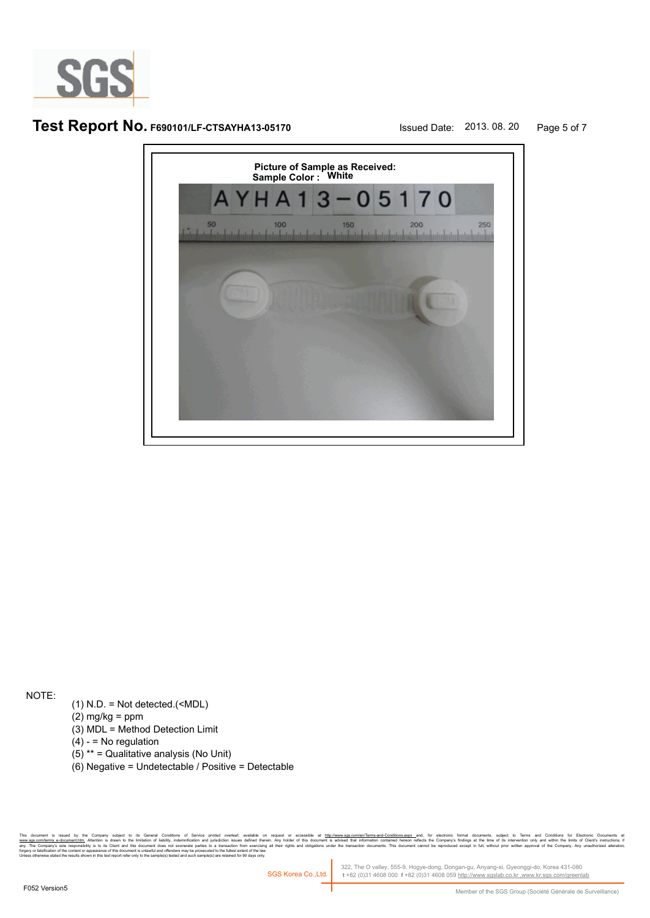

# **Test Report No. F690101/LF-CTSAYHA13-05170** Issued Date: 2013. 08. 20 Page 5 of 7



NOTE:

- (1) N.D. = Not detected.(<MDL)
- $(2)$  mg/kg = ppm
- (3) MDL = Method Detection Limit
- $(4) -$  = No regulation
- (5) \*\* = Qualitative analysis (No Unit)
- (6) Negative = Undetectable / Positive = Detectable

r company suged as central compons or servor prime o weres, awake on request or accessive at <u>hterwwass componiemes-are a model on the dec</u>rease and, because and counterst subject to remove the individual the same of the i forgery or falsification of the content or appearance of this document is unlawful and offenders may be prosecuted to the fullest extent of the law.<br>Unless otherwise stated the results shown in this test report refer only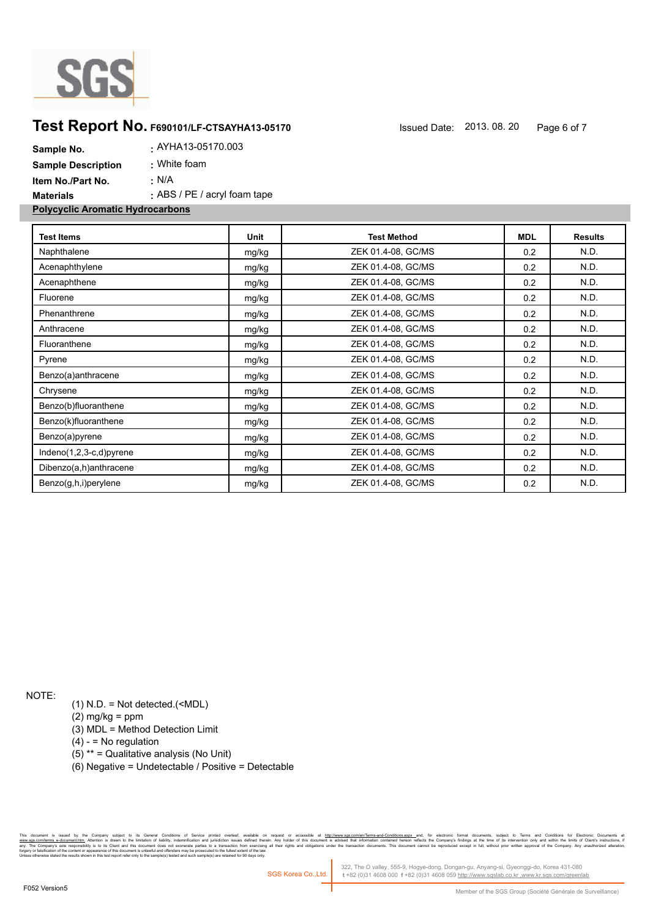

# **Test Report No. F690101/LF-CTSAYHA13-05170** Issued Date: 2013. 08. 20 Page 6 of 7

| Sample No.                              | AYHA13-05170.003                 |
|-----------------------------------------|----------------------------------|
| <b>Sample Description</b>               | : White foam                     |
| Item No./Part No.                       | ∴ N/A                            |
| Materials                               | $\pm$ ABS / PE / acryl foam tape |
| <b>Polycyclic Aromatic Hydrocarbons</b> |                                  |

| <b>Test Items</b>       | Unit  | <b>Test Method</b> | <b>MDL</b> | <b>Results</b> |
|-------------------------|-------|--------------------|------------|----------------|
| Naphthalene             | mg/kg | ZEK 01.4-08, GC/MS | 0.2        | N.D.           |
| Acenaphthylene          | mg/kg | ZEK 01.4-08, GC/MS | 0.2        | N.D.           |
| Acenaphthene            | mg/kg | ZEK 01.4-08, GC/MS | 0.2        | N.D.           |
| Fluorene                | mg/kg | ZEK 01.4-08, GC/MS | 0.2        | N.D.           |
| Phenanthrene            | mg/kg | ZEK 01.4-08, GC/MS | 0.2        | N.D.           |
| Anthracene              | mg/kg | ZEK 01.4-08, GC/MS | 0.2        | N.D.           |
| Fluoranthene            | mg/kg | ZEK 01.4-08, GC/MS | 0.2        | N.D.           |
| Pyrene                  | mg/kg | ZEK 01.4-08, GC/MS | 0.2        | N.D.           |
| Benzo(a)anthracene      | mg/kg | ZEK 01.4-08, GC/MS | 0.2        | N.D.           |
| Chrysene                | mg/kg | ZEK 01.4-08, GC/MS | 0.2        | N.D.           |
| Benzo(b)fluoranthene    | mg/kg | ZEK 01.4-08, GC/MS | 0.2        | N.D.           |
| Benzo(k)fluoranthene    | mg/kg | ZEK 01.4-08, GC/MS | 0.2        | N.D.           |
| Benzo(a)pyrene          | mg/kg | ZEK 01.4-08, GC/MS | 0.2        | N.D.           |
| Indeno(1,2,3-c,d)pyrene | mg/kg | ZEK 01.4-08, GC/MS | 0.2        | N.D.           |
| Dibenzo(a,h)anthracene  | mg/kg | ZEK 01.4-08, GC/MS | 0.2        | N.D.           |
| Benzo(g,h,i)perylene    | mg/kg | ZEK 01.4-08, GC/MS | 0.2        | N.D.           |

NOTE:

(1) N.D. = Not detected.(<MDL)

(2) mg/kg = ppm

(3) MDL = Method Detection Limit

 $(4) -$  = No regulation

(5) \*\* = Qualitative analysis (No Unit)

(6) Negative = Undetectable / Positive = Detectable

the Company subject to its General Conditions of Service printed overleaf, available on request or accessible at h<u>its/inversite, and the restant-fermine and the state of the state of the state of the state of the state of</u> and jurisdiction issues defined therein.<br>rties to a transaction from exercising all<br>osecuted to the fullest extent of the law.